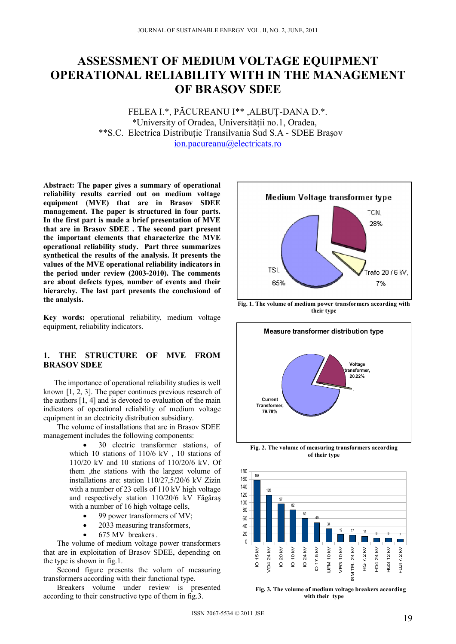# **ASSESSMENT OF MEDIUM VOLTAGE EQUIPMENT OPERATIONAL RELIABILITY WITH IN THE MANAGEMENT OF BRASOV SDEE**

FELEA I.\*, PĂCUREANU I\*\* ,ALBUŢ-DANA D.\*. \*University of Oradea, Universităţii no.1, Oradea, \*\*S.C. Electrica Distribuţie Transilvania Sud S.A - SDEE Braşov ion.pacureanu@electricats.ro

**Abstract: The paper gives a summary of operational reliability results carried out on medium voltage equipment (MVE) that are in Brasov SDEE management. The paper is structured in four parts. In the first part is made a brief presentation of MVE that are in Brasov SDEE . The second part present the important elements that characterize the MVE operational reliability study. Part three summarizes synthetical the results of the analysis. It presents the values of the MVE operational reliability indicators in the period under review (2003-2010). The comments are about defects types, number of events and their hierarchy. The last part presents the conclusiond of the analysis.** 

**Key words:** operational reliability, medium voltage equipment, reliability indicators.

## **1. THE STRUCTURE OF MVE FROM BRASOV SDEE**

The importance of operational reliability studies is well known [1, 2, 3]. The paper continues previous research of the authors [1, 4] and is devoted to evaluation of the main indicators of operational reliability of medium voltage equipment in an electricity distribution subsidiary.

The volume of installations that are in Brasov SDEE management includes the following components:

- 30 electric transformer stations, of which 10 stations of 110/6 kV , 10 stations of 110/20 kV and 10 stations of 110/20/6 kV. Of them ,the stations with the largest volume of installations are: station 110/27,5/20/6 kV Zizin with a number of 23 cells of 110 kV high voltage and respectively station 110/20/6 kV Făgăraş with a number of 16 high voltage cells,
	- 99 power transformers of MV;
	- 2033 measuring transformers,
	- 675 MV breakers .

The volume of medium voltage power transformers that are in exploitation of Brasov SDEE, depending on the type is shown in fig.1.

Second figure presents the volum of measuring transformers according with their functional type.

Breakers volume under review is presented according to their constructive type of them in fig.3.



**Fig. 1. The volume of medium power transformers according with their type** 



**Fig. 2. The volume of measuring transformers according of their type** 



**with their type**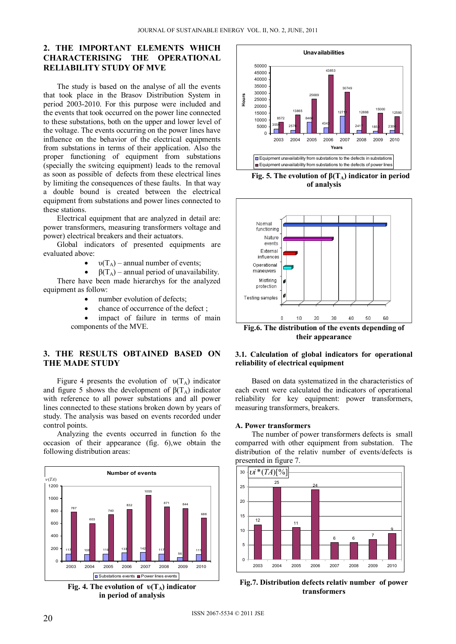# **2. THE IMPORTANT ELEMENTS WHICH CHARACTERISING THE OPERATIONAL RELIABILITY STUDY OF MVE**

The study is based on the analyse of all the events that took place in the Brasov Distribution System in period 2003-2010. For this purpose were included and the events that took occurred on the power line connected to these substations, both on the upper and lower level of the voltage. The events occurring on the power lines have influence on the behavior of the electrical equipments from substations in terms of their application. Also the proper functioning of equipment from substations (specially the switcing equipment) leads to the removal as soon as possible of defects from these electrical lines by limiting the consequences of these faults. In that way a double bound is created between the electrical equipment from substations and power lines connected to these stations.

Electrical equipment that are analyzed in detail are: power transformers, measuring transformers voltage and power) electrical breakers and their actuators.

Global indicators of presented equipments are evaluated above:

- $v(T_A)$  annual number of events;
- $\beta(T_A)$  annual period of unavailability.

There have been made hierarchys for the analyzed equipment as follow:

- number evolution of defects;
- chance of occurrence of the defect ;

 impact of failure in terms of main components of the MVE.

## **3. THE RESULTS OBTAINED BASED ON THE MADE STUDY**

Figure 4 presents the evolution of  $\nu(T_A)$  indicator and figure 5 shows the development of  $\beta(T_A)$  indicator with reference to all power substations and all power lines connected to these stations broken down by years of study. The analysis was based on events recorded under control points.

Analyzing the events occurred in function fo the occasion of their appearance (fig. 6),we obtain the following distribution areas:



**Fig. 4. The evolution of**  $υ(T_A)$  **indicator in period of analysis** 



**Fig. 5. The evolution of**  $β(T_A)$  **indicator in period of analysis** 



**their appearance** 

### **3.1. Calculation of global indicators for operational reliability of electrical equipment**

Based on data systematized in the characteristics of each event were calculated the indicators of operational reliability for key equipment: power transformers, measuring transformers, breakers.

#### **A. Power transformers**

The number of power transformers defects is small comparred with other equipment from substation. The distribution of the relativ number of events/defects is presented in figure 7.



**Fig.7. Distribution defects relativ number of power transformers**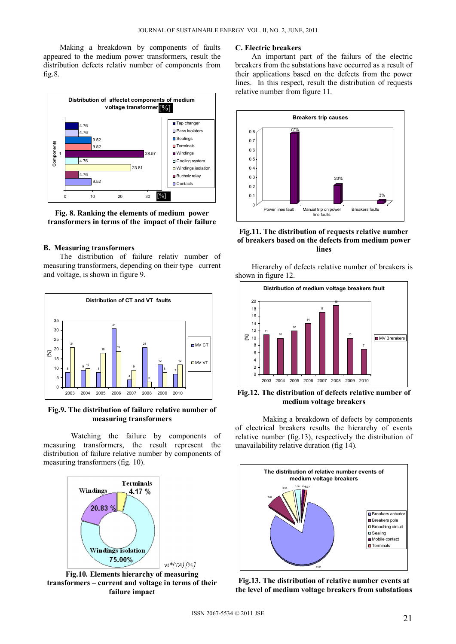Making a breakdown by components of faults appeared to the medium power transformers, result the distribution defects relativ number of components from fig.8.



**Fig. 8. Ranking the elements of medium power transformers in terms of the impact of their failure**

### **B. Measuring transformers**

The distribution of failure relativ number of measuring transformers, depending on their type –current and voltage, is shown in figure 9.



**Fig.9. The distribution of failure relative number of measuring transformers** 

Watching the failure by components of measuring transformers, the result represent the distribution of failure relative number by components of measuring transformers (fig. 10).



**transformers – current and voltage in terms of their failure impact** 

#### **C. Electric breakers**

An important part of the failurs of the electric breakers from the substations have occurred as a result of their applications based on the defects from the power lines. In this respect, result the distribution of requests relative number from figure 11.



**Fig.11. The distribution of requests relative number of breakers based on the defects from medium power lines** 

Hierarchy of defects relative number of breakers is shown in figure 12.



**Fig.12. The distribution of defects relative number of medium voltage breakers** 

Making a breakdown of defects by components of electrical breakers results the hierarchy of events relative number (fig.13), respectively the distribution of unavailability relative duration (fig 14).



**Fig.13. The distribution of relative number events at the level of medium voltage breakers from substations**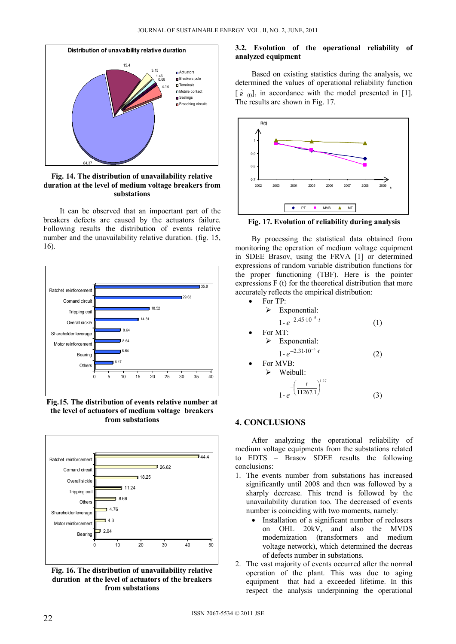

**Fig. 14. The distribution of unavailability relative duration at the level of medium voltage breakers from substations** 

It can be observed that an impoertant part of the breakers defects are caused by the actuators failure. Following results the distribution of events relative number and the unavailability relative duration. (fig. 15, 16).



**Fig.15. The distribution of events relative number at the level of actuators of medium voltage breakers from substations** 



**Fig. 16. The distribution of unavailability relative duration at the level of actuators of the breakers from substations** 

## **3.2. Evolution of the operational reliability of analyzed equipment**

Based on existing statistics during the analysis, we determined the values of operational reliability function  $[\hat{R}_{(t)}]$ , in accordance with the model presented in [1]. The results are shown in Fig. 17.



**Fig. 17. Evolution of reliability during analysis** 

By processing the statistical data obtained from monitoring the operation of medium voltage equipment in SDEE Brasov, using the FRVA [1] or determined expressions of random variable distribution functions for the proper functioning (TBF). Here is the pointer expressions F (t) for the theoretical distribution that more accurately reflects the empirical distribution:

| For $TP$                                              |     |
|-------------------------------------------------------|-----|
| Exponential:<br>≻                                     |     |
| $1 - e^{-2.45 \cdot 10^{-5} \cdot t}$                 | (1) |
| For MT:                                               |     |
| $\triangleright$ Exponential:                         |     |
| $1 - e^{-2.31 \cdot 10^{-5} \cdot t}$                 | (2) |
| For MVB:                                              |     |
| Weibull:<br>➤                                         |     |
| $\left[-\left(\frac{t}{11267.1}\right)^{1.27}\right]$ |     |

# **4. CONCLUSIONS**

After analyzing the operational reliability of medium voltage equipments from the substations related to EDTS – Brasov SDEE results the following conclusions:

- 1. The events number from substations has increased significantly until 2008 and then was followed by a sharply decrease. This trend is followed by the unavailability duration too. The decreased of events number is coinciding with two moments, namely:
	- Installation of a significant number of reclosers on OHL 20kV, and also the MVDS<br>modernization (transformers and medium (transformers and medium voltage network), which determined the decreas of defects number in substations.
- 2. The vast majority of events occurred after the normal operation of the plant. This was due to aging equipment that had a exceeded lifetime. In this respect the analysis underpinning the operational